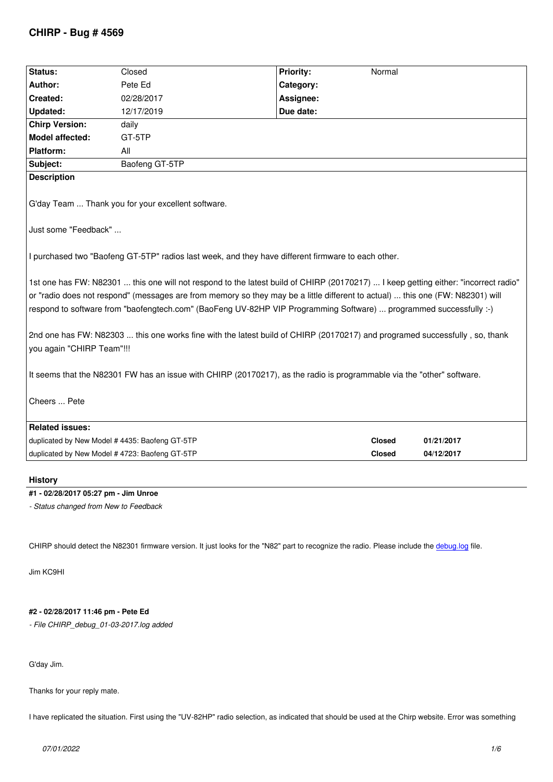| Status:                                                                                                                                                                                                                                                                                                                                                                                     | Closed         | <b>Priority:</b> | Normal        |            |  |  |
|---------------------------------------------------------------------------------------------------------------------------------------------------------------------------------------------------------------------------------------------------------------------------------------------------------------------------------------------------------------------------------------------|----------------|------------------|---------------|------------|--|--|
| Author:                                                                                                                                                                                                                                                                                                                                                                                     | Pete Ed        | Category:        |               |            |  |  |
| Created:                                                                                                                                                                                                                                                                                                                                                                                    | 02/28/2017     | Assignee:        |               |            |  |  |
| Updated:                                                                                                                                                                                                                                                                                                                                                                                    | 12/17/2019     | Due date:        |               |            |  |  |
| <b>Chirp Version:</b>                                                                                                                                                                                                                                                                                                                                                                       | daily          |                  |               |            |  |  |
| Model affected:                                                                                                                                                                                                                                                                                                                                                                             | GT-5TP         |                  |               |            |  |  |
| Platform:                                                                                                                                                                                                                                                                                                                                                                                   | All            |                  |               |            |  |  |
| Subject:                                                                                                                                                                                                                                                                                                                                                                                    | Baofeng GT-5TP |                  |               |            |  |  |
| <b>Description</b>                                                                                                                                                                                                                                                                                                                                                                          |                |                  |               |            |  |  |
| G'day Team  Thank you for your excellent software.                                                                                                                                                                                                                                                                                                                                          |                |                  |               |            |  |  |
| Just some "Feedback"                                                                                                                                                                                                                                                                                                                                                                        |                |                  |               |            |  |  |
| I purchased two "Baofeng GT-5TP" radios last week, and they have different firmware to each other.                                                                                                                                                                                                                                                                                          |                |                  |               |            |  |  |
| 1st one has FW: N82301  this one will not respond to the latest build of CHIRP (20170217)  I keep getting either: "incorrect radio"<br>or "radio does not respond" (messages are from memory so they may be a little different to actual)  this one (FW: N82301) will<br>respond to software from "baofengtech.com" (BaoFeng UV-82HP VIP Programming Software)  programmed successfully :-) |                |                  |               |            |  |  |
| 2nd one has FW: N82303  this one works fine with the latest build of CHIRP (20170217) and programed successfully, so, thank<br>you again "CHIRP Team"!!!                                                                                                                                                                                                                                    |                |                  |               |            |  |  |
| It seems that the N82301 FW has an issue with CHIRP (20170217), as the radio is programmable via the "other" software.                                                                                                                                                                                                                                                                      |                |                  |               |            |  |  |
| Cheers  Pete                                                                                                                                                                                                                                                                                                                                                                                |                |                  |               |            |  |  |
| <b>Related issues:</b>                                                                                                                                                                                                                                                                                                                                                                      |                |                  |               |            |  |  |
| duplicated by New Model # 4435: Baofeng GT-5TP                                                                                                                                                                                                                                                                                                                                              |                |                  | <b>Closed</b> | 01/21/2017 |  |  |
| duplicated by New Model # 4723: Baofeng GT-5TP                                                                                                                                                                                                                                                                                                                                              |                |                  | <b>Closed</b> | 04/12/2017 |  |  |
| <b>History</b>                                                                                                                                                                                                                                                                                                                                                                              |                |                  |               |            |  |  |

## **#1 - 02/28/2017 05:27 pm - Jim Unroe**

*- Status changed from New to Feedback*

*CHIRP should detect the N82301 firmware version. It just looks for the "N82" part to recognize the radio. Please include the debug.log file.*

*Jim KC9HI*

# **#2 - 02/28/2017 11:46 pm - Pete Ed**

*- File CHIRP\_debug\_01-03-2017.log added*

*G'day Jim.*

*Thanks for your reply mate.*

*I have replicated the situation. First using the "UV-82HP" radio selection, as indicated that should be used at the Chirp website. Error was something*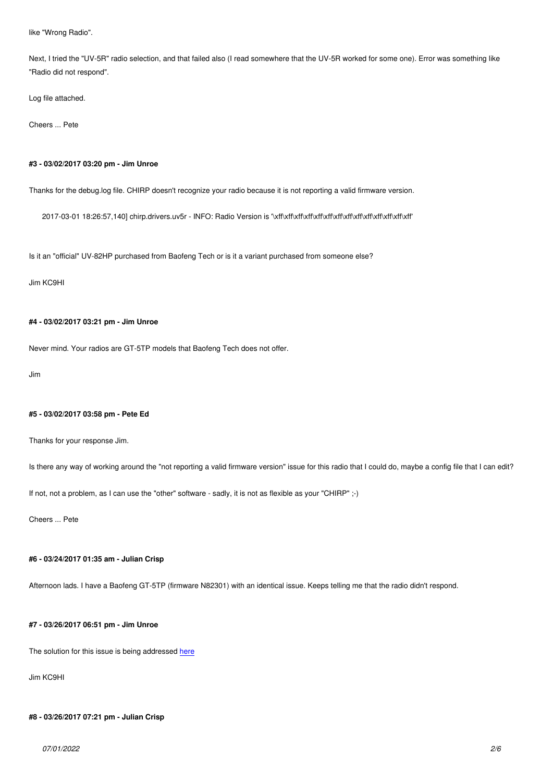*Next, I tried the "UV-5R" radio selection, and that failed also (I read somewhere that the UV-5R worked for some one). Error was something like "Radio did not respond".*

*Log file attached.*

*Cheers ... Pete*

# **#3 - 03/02/2017 03:20 pm - Jim Unroe**

*Thanks for the debug.log file. CHIRP doesn't recognize your radio because it is not reporting a valid firmware version.*

*2017-03-01 18:26:57,140] chirp.drivers.uv5r - INFO: Radio Version is '\xff\xff\xff\xff\xff\xff\xff\xff\xff\xff\xff\xff\xff\xff'*

*Is it an "official" UV-82HP purchased from Baofeng Tech or is it a variant purchased from someone else?*

*Jim KC9HI*

# **#4 - 03/02/2017 03:21 pm - Jim Unroe**

*Never mind. Your radios are GT-5TP models that Baofeng Tech does not offer.*

*Jim*

#### **#5 - 03/02/2017 03:58 pm - Pete Ed**

*Thanks for your response Jim.*

*Is there any way of working around the "not reporting a valid firmware version" issue for this radio that I could do, maybe a config file that I can edit?*

*If not, not a problem, as I can use the "other" software - sadly, it is not as flexible as your "CHIRP" ;-)*

*Cheers ... Pete*

#### **#6 - 03/24/2017 01:35 am - Julian Crisp**

*Afternoon lads. I have a Baofeng GT-5TP (firmware N82301) with an identical issue. Keeps telling me that the radio didn't respond.*

#### **#7 - 03/26/2017 06:51 pm - Jim Unroe**

*The solution for this issue is being addressed here*

*Jim KC9HI*

#### **#8 - 03/26/2017 07:21 pm - Julian Crisp**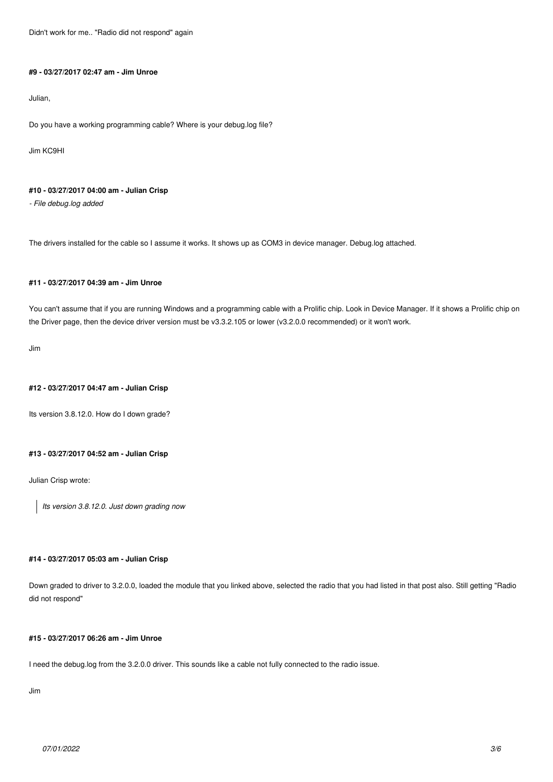*Didn't work for me.. "Radio did not respond" again*

#### **#9 - 03/27/2017 02:47 am - Jim Unroe**

*Julian,*

*Do you have a working programming cable? Where is your debug.log file?*

*Jim KC9HI*

# **#10 - 03/27/2017 04:00 am - Julian Crisp**

*- File debug.log added*

*The drivers installed for the cable so I assume it works. It shows up as COM3 in device manager. Debug.log attached.*

# **#11 - 03/27/2017 04:39 am - Jim Unroe**

*You can't assume that if you are running Windows and a programming cable with a Prolific chip. Look in Device Manager. If it shows a Prolific chip on the Driver page, then the device driver version must be v3.3.2.105 or lower (v3.2.0.0 recommended) or it won't work.*

*Jim*

#### **#12 - 03/27/2017 04:47 am - Julian Crisp**

*Its version 3.8.12.0. How do I down grade?*

### **#13 - 03/27/2017 04:52 am - Julian Crisp**

*Julian Crisp wrote:*

*Its version 3.8.12.0. Just down grading now*

## **#14 - 03/27/2017 05:03 am - Julian Crisp**

*Down graded to driver to 3.2.0.0, loaded the module that you linked above, selected the radio that you had listed in that post also. Still getting "Radio did not respond"*

#### **#15 - 03/27/2017 06:26 am - Jim Unroe**

*I need the debug.log from the 3.2.0.0 driver. This sounds like a cable not fully connected to the radio issue.*

*Jim*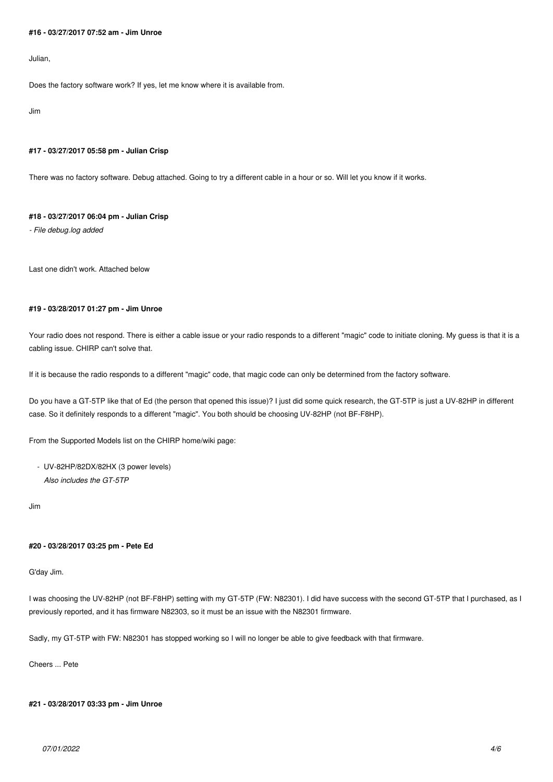#### **#16 - 03/27/2017 07:52 am - Jim Unroe**

*Julian,*

*Does the factory software work? If yes, let me know where it is available from.*

*Jim*

### **#17 - 03/27/2017 05:58 pm - Julian Crisp**

*There was no factory software. Debug attached. Going to try a different cable in a hour or so. Will let you know if it works.*

#### **#18 - 03/27/2017 06:04 pm - Julian Crisp**

*- File debug.log added*

*Last one didn't work. Attached below*

# **#19 - 03/28/2017 01:27 pm - Jim Unroe**

*Your radio does not respond. There is either a cable issue or your radio responds to a different "magic" code to initiate cloning. My guess is that it is a cabling issue. CHIRP can't solve that.*

*If it is because the radio responds to a different "magic" code, that magic code can only be determined from the factory software.*

*Do you have a GT-5TP like that of Ed (the person that opened this issue)? I just did some quick research, the GT-5TP is just a UV-82HP in different case. So it definitely responds to a different "magic". You both should be choosing UV-82HP (not BF-F8HP).*

*From the Supported Models list on the CHIRP home/wiki page:*

 *- UV-82HP/82DX/82HX (3 power levels) Also includes the GT-5TP*

*Jim*

### **#20 - 03/28/2017 03:25 pm - Pete Ed**

### *G'day Jim.*

*I was choosing the UV-82HP (not BF-F8HP) setting with my GT-5TP (FW: N82301). I did have success with the second GT-5TP that I purchased, as I previously reported, and it has firmware N82303, so it must be an issue with the N82301 firmware.*

*Sadly, my GT-5TP with FW: N82301 has stopped working so I will no longer be able to give feedback with that firmware.*

#### *Cheers ... Pete*

### **#21 - 03/28/2017 03:33 pm - Jim Unroe**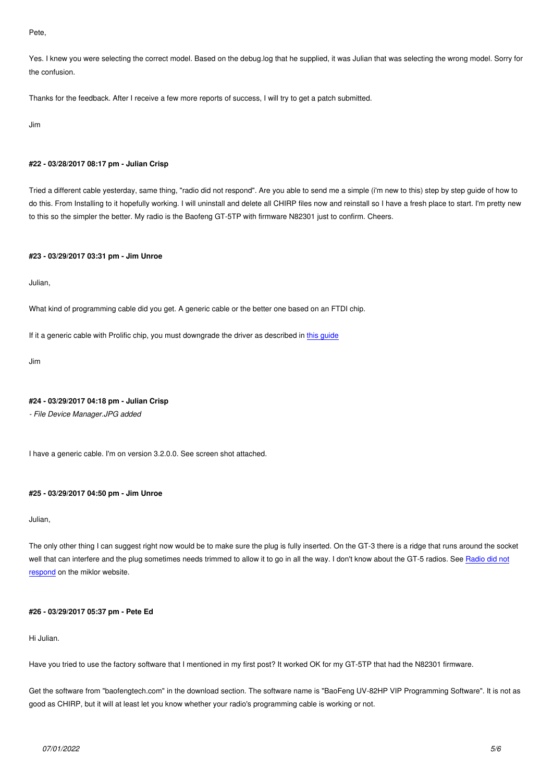Yes. I knew you were selecting the correct model. Based on the debug.log that he supplied, it was Julian that was selecting the wrong model. Sorry for *the confusion.*

*Thanks for the feedback. After I receive a few more reports of success, I will try to get a patch submitted.*

*Jim*

# **#22 - 03/28/2017 08:17 pm - Julian Crisp**

*Tried a different cable yesterday, same thing, "radio did not respond". Are you able to send me a simple (i'm new to this) step by step guide of how to do this. From Installing to it hopefully working. I will uninstall and delete all CHIRP files now and reinstall so I have a fresh place to start. I'm pretty new to this so the simpler the better. My radio is the Baofeng GT-5TP with firmware N82301 just to confirm. Cheers.*

### **#23 - 03/29/2017 03:31 pm - Jim Unroe**

*Julian,*

*What kind of programming cable did you get. A generic cable or the better one based on an FTDI chip.*

*If it a generic cable with Prolific chip, you must downgrade the driver as described in this guide*

*Jim*

#### **#24 - 03/29/2017 04:18 pm - Julian Crisp**

*- File Device Manager.JPG added*

*I have a generic cable. I'm on version 3.2.0.0. See screen shot attached.*

#### **#25 - 03/29/2017 04:50 pm - Jim Unroe**

*Julian,*

*The only other thing I can suggest right now would be to make sure the plug is fully inserted. On the GT-3 there is a ridge that runs around the socket well that can interfere and the plug sometimes needs trimmed to allow it to go in all the way. I don't know about the GT-5 radios. See Radio did not respond on the miklor website.*

#### **[#26 - 03](http://www.miklor.com/COM/UV_ErrorMess.php#error1)/29/2017 05:37 pm - Pete Ed**

*Hi Julian.*

*Have you tried to use the factory software that I mentioned in my first post? It worked OK for my GT-5TP that had the N82301 firmware.*

*Get the software from "baofengtech.com" in the download section. The software name is "BaoFeng UV-82HP VIP Programming Software". It is not as good as CHIRP, but it will at least let you know whether your radio's programming cable is working or not.*